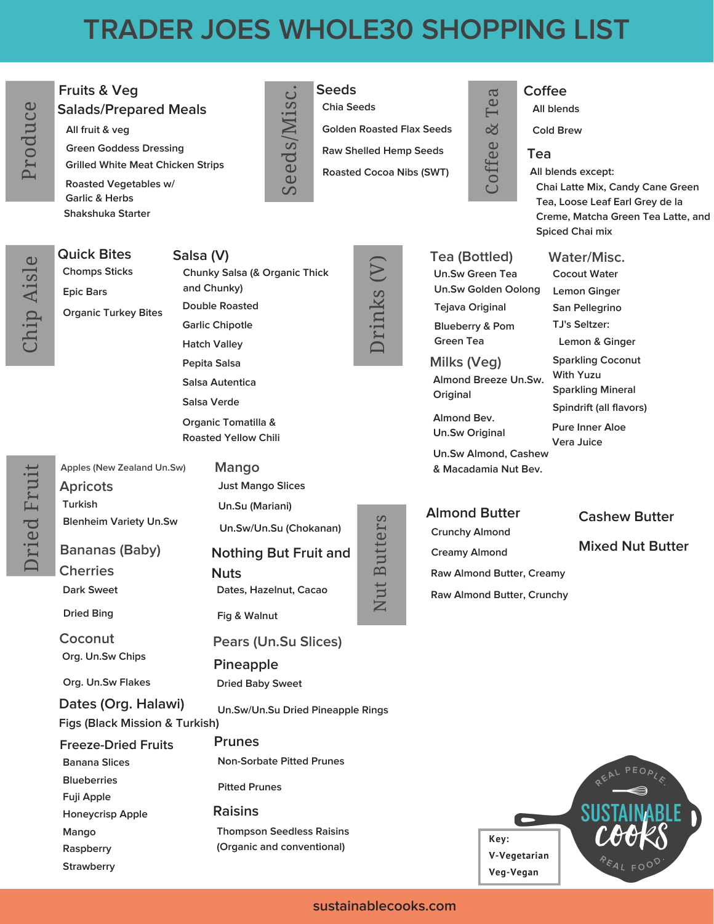# **TRADER JOES WHOLE30 SHOPPING LIST**

#### **Fruits & Veg** <sup>a</sup> **Salads/Prepared Meals**

**All fruit & veg Green Goddess Dressing Grilled White Meat Chicken Strips Roasted Vegetables w/ Garlic & Herbs Shakshuka Starter**

**Chomps Sticks**

**Organic Turkey Bites**

**Epic Bars**

**Chia Seeds**

**Golden Roasted Flax Seeds**

**Raw Shelled Hemp Seeds**

**Roasted Cocoa Nibs (SWT)**

### **Seeds Coffee**

**All blends**

**Cold Brew**

#### **Tea**

**All blends except: Chai Latte Mix, Candy Cane Green Tea, Loose Leaf Earl Grey de la Creme, Matcha Green Tea Latte, and Spiced Chai mix**

> **Water/Misc. Cocout Water Lemon Ginger San Pellegrino TJ's Seltzer:**

**Lemon & Ginger Sparkling Coconut**

**With Yuzu Sparkling Mineral Spindrift (all flavors) Pure Inner Aloe Vera Juice**



 $\Box$ ried $\Box$  $\mapsto$ ui $\overline{\phantom{0}}$ 

**Turkish Apples (New Zealand Un.Sw) Apricots**

**Dark Sweet Bananas (Baby) Cherries**

**Dried Bing**

**Org. Un.Sw Chips Coconut**

**Org. Un.Sw Flakes**

#### **Dates (Org. Halawi) Figs (Black Mission & Turkish)**

**Banana Slices Blueberries Fuji Apple Honeycrisp Apple Mango Raspberry Strawberry Freeze-Dried Fruits**

**Quick Bites Salsa (V) Chunky Salsa (& Organic Thick and Chunky) Double Roasted Garlic Chipotle Hatch Valley Pepita Salsa Salsa Autentica Salsa Verde Organic Tomatilla &**

**Roasted Yellow Chili**

**Blenheim Variety Un.Sw Just Mango Slices Un.Su (Mariani) Un.Sw/Un.Su (Chokanan) Mango Dates, Hazelnut, Cacao Fig & Walnut Nothing But Fruit and Nuts Dried Baby Sweet Un.Sw/Un.Su Dried Pineapple Rings Pineapple Non-Sorbate Pitted Prunes Pitted Prunes Thompson Seedless Raisins (Organic and conventional) Prunes Pears (Un.Su Slices) Raisins** Nut $\mathbf{\Xi}$ utters



#### **Tea (Bottled) Un.Sw Green Tea Un.Sw Golden Oolong**

 $\cup$ off e $\mathbf \Theta$ &Te

**Tejava Original Blueberry & Pom Green Tea**

**Milks (Veg) Almond Breeze Un.Sw. Original**

**Almond Bev. Un.Sw Original**

**Un.Sw Almond, Cashew & Macadamia Nut Bev.**

**Almond Butter Crunchy Almond Creamy Almond**

**Raw Almond Butter, Creamy Raw Almond Butter, Crunchy** **Cashew Butter**

**Mixed Nut Butter**



**sustainablecooks.com**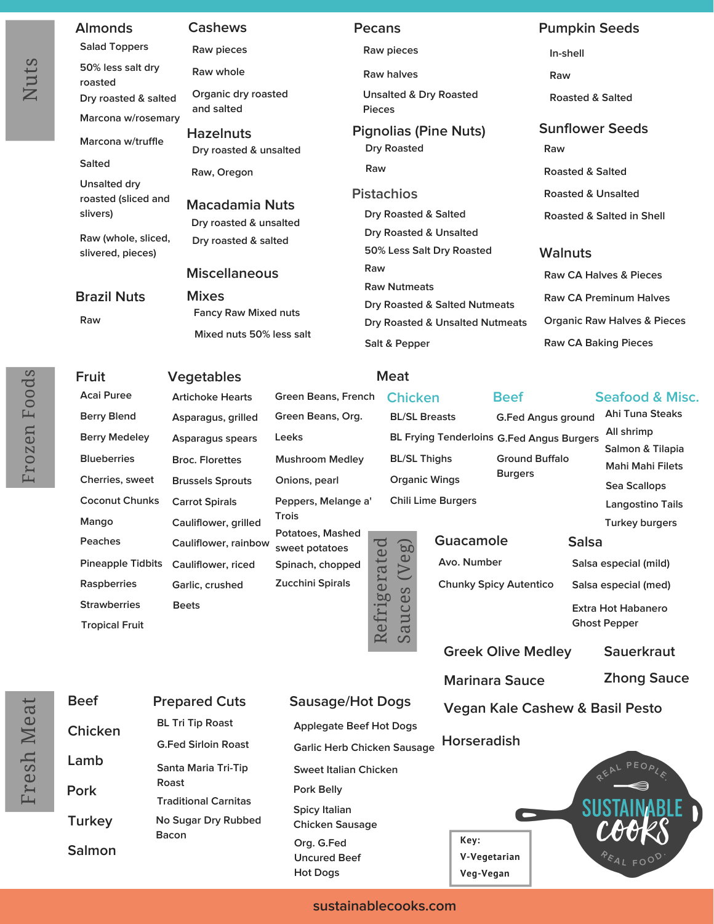#### **Salad Toppers 50% less salt dry roasted**

**Marcona w/rosemary**

**Dry roasted & salted**

**Marcona w/truffle**

**Salted**

**Unsalted dry roasted (sliced and slivers)**

**Raw (whole, sliced, slivered, pieces)**

#### **Brazil Nuts**

**Raw**

**Raw pieces**

**and salted**

**Raw whole Organic dry roasted**

**Hazelnuts Dry roasted & unsalted Raw, Oregon**

**Macadamia Nuts Dry roasted & unsalted Dry roasted & salted**

**Miscellaneous**

#### **Mixes Fancy Raw Mixed nuts Mixed nuts 50% less salt**

**Raw pieces**

**Raw halves**

**Unsalted & Dry Roasted Pieces**

**Dry Roasted Raw**

#### **Pistachios**

**Dry Roasted & Salted Dry Roasted & Unsalted 50% Less Salt Dry Roasted Raw Raw Nutmeats Dry Roasted & Salted Nutmeats Dry Roasted & Unsalted Nutmeats Salt & Pepper**

## **Almonds Cashews Pecans Pumpkin Seeds**

**In-shell**

**Raw**

**Roasted & Salted**

#### **Pignolias (Pine Nuts) Sunflower Seeds**

**Raw**

**Roasted & Salted**

**Roasted & Unsalted**

**Roasted & Salted in Shell**

#### **Walnuts**

**Raw CA Halves & Pieces Raw CA Preminum Halves Organic Raw Halves & Pieces Raw CA Baking Pieces**

> **Ahi Tuna Steaks All shrimp**

**Seafood & Misc.**

**Mahi Mahi Filets Sea Scallops Langostino Tails**

## **Fruit Vegetables Meat**

**Acai Puree Berry Blend Berry Medeley Blueberries Cherries, sweet Coconut Chunks Mango Peaches Pineapple Tidbits Raspberries Strawberries Tropical Fruit Artichoke Hearts Asparagus, grilled Asparagus spears Broc. Florettes Brussels Sprouts Cauliflower, grilled Cauliflower, rainbow Cauliflower, riced Garlic, crushed Zucchini Spirals Beets**

## **Green Beans, French Green Beans, Org.**

**Carrot Spirals Chili Lime Burgers Peppers, Melange a' Mushroom Medley Onions, pearl Trois Potatoes, Mashed sweet potatoes**

**Leeks**

**Spinach, chopped** Í l. d

# **BL/SL Breasts BL/SL Thighs Organic Wings**

**Chicken**

# **Ground Buffalo Burgers**

**Guacamole Avo. Number Chunky Spicy Autentico**

**Salmon & Tilapia**

**G.Fed Angus ground**

**Turkey burgers Salsa**

**Salsa especial (mild) Salsa especial (med) Extra Hot Habanero Ghost Pepper**

**Greek Olive Medley**

**Marinara Sauce**

**Sauerkraut Zhong Sauce**

**Vegan Kale Cashew & Basil Pesto**

**Horseradish**

**Key:**



 $\sqcup$  $\mapsto$  $\mathbb O$ sh $\bm{\mathbb{N}}$  $\mathsf \Phi$ 

| <b>Beef</b>   | <b>Prepared Cuts</b>        |
|---------------|-----------------------------|
| Chicken       | <b>BL Tri Tip Roast</b>     |
|               | <b>G.Fed Sirloin Roast</b>  |
| Lamb          | Santa Maria Tri-Tip         |
| Pork          | Roast                       |
|               | <b>Traditional Carnitas</b> |
| <b>Turkey</b> | No Sugar Dry Rubbed         |
|               | Bacon                       |
| Salmon        |                             |

### **Prepared Cuts Sausage/Hot Dogs**

**Applegate Beef Hot Dogs Garlic Herb Chicken Sausage Sweet Italian Chicken Pork Belly Spicy Italian Chicken Sausage Org. G.Fed Uncured Beef Hot Dogs**

**sustainablecooks.com**

 $\mathbf \sigma$ uces (V eg)

**BL Frying Tenderloins G.Fed Angus Burgers**

**Beef**

Refrig erate $\mathcal O$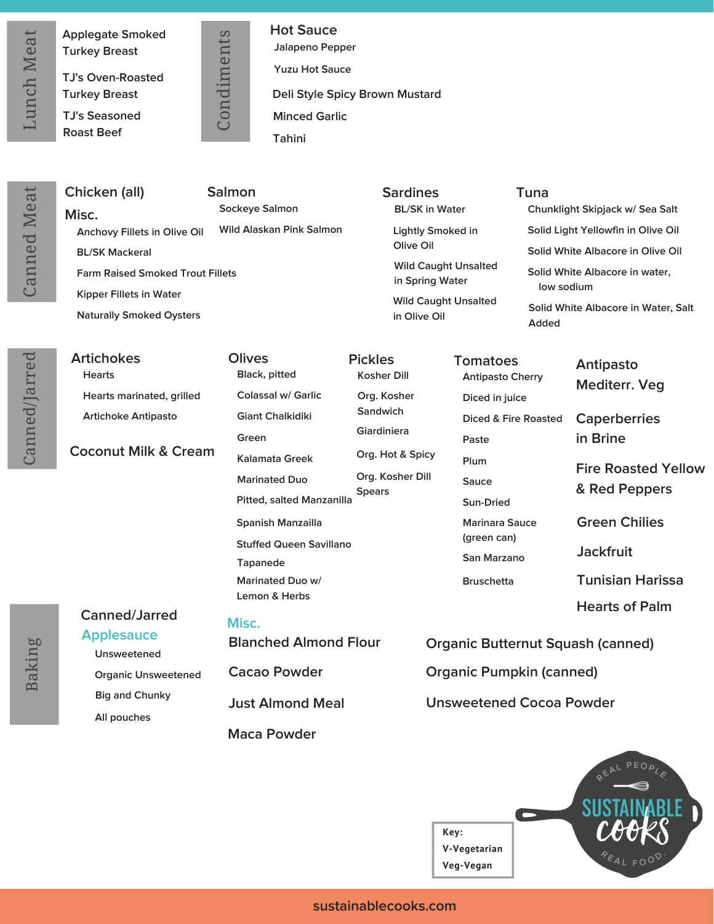$\cup$  $\mathbf \sigma$ nnedM $\mathbf \omega$ at

Can

ned/J arred

**Applegate Smoked Turkey Breast**

**TJ's Oven-Roasted Turkey Breast**

**TJ's Seasoned Roast Beef**

o $\mathbf{a}$ dim ents

 $\cup$ 

**Jalapeno Pepper Yuzu Hot Sauce Hot Sauce Deli Style Spicy Brown Mustard Minced Garlic Tahini**

| Sockeye Salmon<br><b>BL/SK in Water</b><br>Chunklight Skipjack w/ Sea Salt<br>Misc.<br>Wild Alaskan Pink Salmon<br>Solid Light Yellowfin in Olive Oil<br>Lightly Smoked in<br>Anchovy Fillets in Olive Oil<br>Olive Oil<br>Solid White Albacore in Olive Oil<br><b>BL/SK Mackeral</b><br><b>Wild Caught Unsalted</b><br>Solid White Albacore in water,<br><b>Farm Raised Smoked Trout Fillets</b><br>in Spring Water<br>low sodium<br>Kipper Fillets in Water | Chicken (all)                   | <b>Salmon</b> | <b>Sardines</b>                             | Tuna                                |  |
|---------------------------------------------------------------------------------------------------------------------------------------------------------------------------------------------------------------------------------------------------------------------------------------------------------------------------------------------------------------------------------------------------------------------------------------------------------------|---------------------------------|---------------|---------------------------------------------|-------------------------------------|--|
|                                                                                                                                                                                                                                                                                                                                                                                                                                                               |                                 |               |                                             |                                     |  |
|                                                                                                                                                                                                                                                                                                                                                                                                                                                               |                                 |               |                                             |                                     |  |
|                                                                                                                                                                                                                                                                                                                                                                                                                                                               | <b>Naturally Smoked Oysters</b> |               |                                             |                                     |  |
|                                                                                                                                                                                                                                                                                                                                                                                                                                                               |                                 |               |                                             |                                     |  |
|                                                                                                                                                                                                                                                                                                                                                                                                                                                               |                                 |               | <b>Wild Caught Unsalted</b><br>in Olive Oil |                                     |  |
| Added                                                                                                                                                                                                                                                                                                                                                                                                                                                         |                                 |               |                                             | Solid White Albacore in Water, Salt |  |

| <b>Artichokes</b>          |
|----------------------------|
| <b>Hearts</b>              |
| Hearts marinated, grilled  |
| <b>Artichoke Antipasto</b> |

**Coconut Milk & Cream**

**Black, pitted Colassal w/ Garlic Giant Chalkidiki Green Kalamata Greek Marinated Duo Spanish Manzailla Stuffed Queen Savillano Pitted, salted Manzanilla Tapanede Marinated Duo w/ Lemon & Herbs**

**Canned/Jarred Applesauce**

**Unsweetened Organic Unsweetened Big and Chunky All pouches**

#### **Misc.**

**Olives**

**Blanched Almond Flour**

**Cacao Powder**

**Just Almond Meal**

**Maca Powder**

**Kosher Dill Org. Kosher Sandwich Giardiniera Org. Hot & Spicy Org. Kosher Dill Spears**

**Antipasto Cherry Diced in juice Diced & Fire Roasted Paste Plum Sauce Sun-Dried Marinara Sauce (green can) San Marzano Bruschetta**

**Tomatoes**

**Pickles Antipasto Mediterr. Veg**

> **Caperberries in Brine**

**Fire Roasted Yellow & Red Peppers**

**Green Chilies**

**Jackfruit**

**Tunisian Harissa**

**Hearts of Palm**

**Organic Butternut Squash (canned)**

**Organic Pumpkin (canned)**

**Unsweetened Cocoa Powder**



#### **sustainablecooks.com**